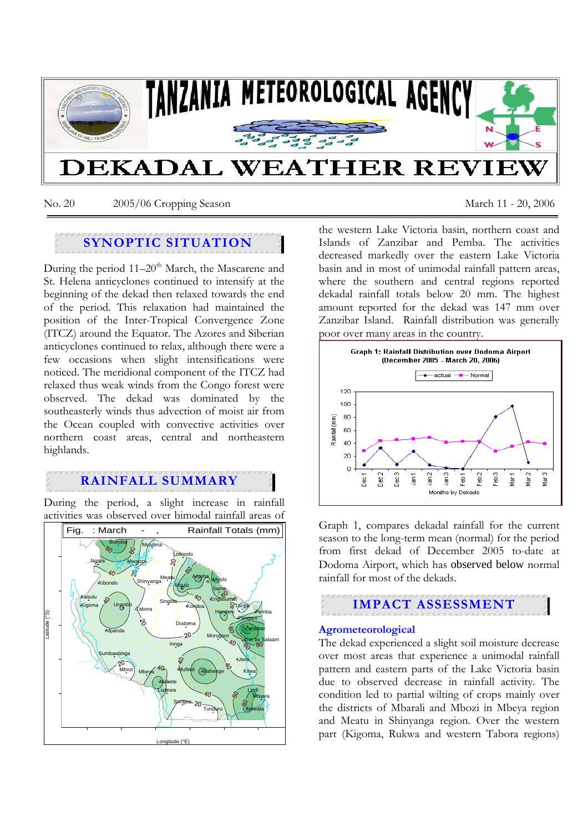

No. 20 2005/06 Cropping Season March 11 - 20, 2006

# **SYNOPTIC SITUATION**

During the period 11–20<sup>th</sup> March, the Mascarene and St. Helena anticyclones continued to intensify at the beginning of the dekad then relaxed towards the end of the period. This relaxation had maintained the position of the Inter-Tropical Convergence Zone (ITCZ) around the Equator. The Azores and Siberian anticyclones continued to relax, although there were a few occasions when slight intensifications were noticed. The meridional component of the ITCZ had relaxed thus weak winds from the Congo forest were observed. The dekad was dominated by the southeasterly winds thus advection of moist air from the Ocean coupled with convective activities over northern coast areas, central and northeastern highlands.

# **RAINFALL SUMMARY**

During the period, a slight increase in rainfall activities was observed over bimodal rainfall areas of



the western Lake Victoria basin, northern coast and Islands of Zanzibar and Pemba. The activities decreased markedly over the eastern Lake Victoria basin and in most of unimodal rainfall pattern areas, where the southern and central regions reported dekadal rainfall totals below 20 mm. The highest amount reported for the dekad was 147 mm over Zanzibar Island. Rainfall distribution was generally poor over many areas in the country.



Graph 1, compares dekadal rainfall for the current season to the long-term mean (normal) for the period from first dekad of December 2005 to-date at Dodoma Airport, which has observed below normal rainfall for most of the dekads.



## **Agrometeorological**

The dekad experienced a slight soil moisture decrease over most areas that experience a unimodal rainfall pattern and eastern parts of the Lake Victoria basin due to observed decrease in rainfall activity. The condition led to partial wilting of crops mainly over the districts of Mbarali and Mbozi in Mbeya region and Meatu in Shinyanga region. Over the western part (Kigoma, Rukwa and western Tabora regions)